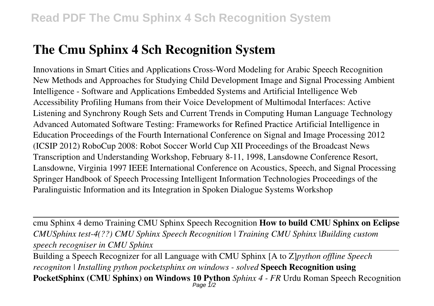## **The Cmu Sphinx 4 Sch Recognition System**

Innovations in Smart Cities and Applications Cross-Word Modeling for Arabic Speech Recognition New Methods and Approaches for Studying Child Development Image and Signal Processing Ambient Intelligence - Software and Applications Embedded Systems and Artificial Intelligence Web Accessibility Profiling Humans from their Voice Development of Multimodal Interfaces: Active Listening and Synchrony Rough Sets and Current Trends in Computing Human Language Technology Advanced Automated Software Testing: Frameworks for Refined Practice Artificial Intelligence in Education Proceedings of the Fourth International Conference on Signal and Image Processing 2012 (ICSIP 2012) RoboCup 2008: Robot Soccer World Cup XII Proceedings of the Broadcast News Transcription and Understanding Workshop, February 8-11, 1998, Lansdowne Conference Resort, Lansdowne, Virginia 1997 IEEE International Conference on Acoustics, Speech, and Signal Processing Springer Handbook of Speech Processing Intelligent Information Technologies Proceedings of the Paralinguistic Information and its Integration in Spoken Dialogue Systems Workshop

cmu Sphinx 4 demo Training CMU Sphinx Speech Recognition **How to build CMU Sphinx on Eclipse** *CMUSphinx test-4(??) CMU Sphinx Speech Recognition | Training CMU Sphinx |Building custom speech recogniser in CMU Sphinx*

Building a Speech Recognizer for all Language with CMU Sphinx [A to Z]*python offline Speech recogniton | Installing python pocketsphinx on windows - solved* **Speech Recognition using PocketSphinx (CMU Sphinx) on Windows 10 Python** Sphinx 4 - FR Urdu Roman Speech Recognition